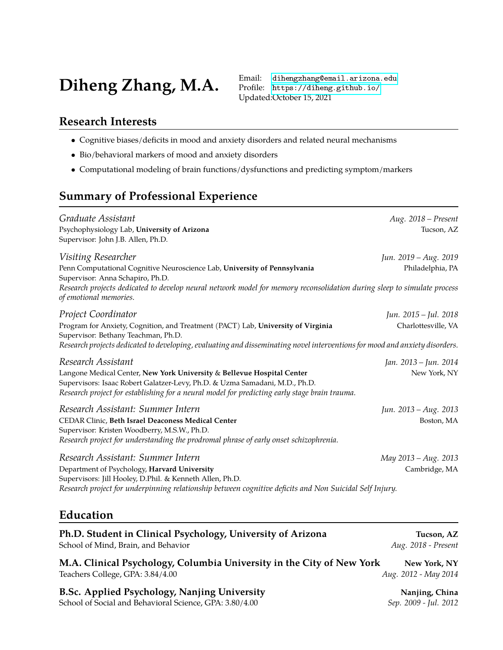# Diheng Zhang, M.A. Email: [dihengzhang@email.arizona.edu](mailto:dihengzhang@email.arizona.edu)

Profile: <https://diheng.github.io/> Updated:October 15, 2021

# **Research Interests**

- Cognitive biases/deficits in mood and anxiety disorders and related neural mechanisms
- Bio/behavioral markers of mood and anxiety disorders
- Computational modeling of brain functions/dysfunctions and predicting symptom/markers

# **Summary of Professional Experience**

| Graduate Assistant<br>Psychophysiology Lab, University of Arizona<br>Supervisor: John J.B. Allen, Ph.D.                                                                                                                                                                      | Aug. 2018 - Present<br>Tucson, AZ     |
|------------------------------------------------------------------------------------------------------------------------------------------------------------------------------------------------------------------------------------------------------------------------------|---------------------------------------|
| Visiting Researcher                                                                                                                                                                                                                                                          | Jun. 2019 – Aug. 2019                 |
| Penn Computational Cognitive Neuroscience Lab, University of Pennsylvania<br>Supervisor: Anna Schapiro, Ph.D.                                                                                                                                                                | Philadelphia, PA                      |
| Research projects dedicated to develop neural network model for memory reconsolidation during sleep to simulate process<br>of emotional memories.                                                                                                                            |                                       |
| Project Coordinator                                                                                                                                                                                                                                                          | Jun. 2015 – Jul. 2018                 |
| Program for Anxiety, Cognition, and Treatment (PACT) Lab, University of Virginia<br>Supervisor: Bethany Teachman, Ph.D.<br>Research projects dedicated to developing, evaluating and disseminating novel interventions for mood and anxiety disorders.                       | Charlottesville, VA                   |
|                                                                                                                                                                                                                                                                              |                                       |
| Research Assistant<br>Langone Medical Center, New York University & Bellevue Hospital Center<br>Supervisors: Isaac Robert Galatzer-Levy, Ph.D. & Uzma Samadani, M.D., Ph.D.<br>Research project for establishing for a neural model for predicting early stage brain trauma. | Jan. 2013 – Jun. 2014<br>New York, NY |
| Research Assistant: Summer Intern                                                                                                                                                                                                                                            | Jun. 2013 – Aug. 2013                 |
| CEDAR Clinic, Beth Israel Deaconess Medical Center                                                                                                                                                                                                                           | Boston, MA                            |
| Supervisor: Kristen Woodberry, M.S.W., Ph.D.<br>Research project for understanding the prodromal phrase of early onset schizophrenia.                                                                                                                                        |                                       |
| Research Assistant: Summer Intern                                                                                                                                                                                                                                            | May 2013 – Aug. 2013                  |
| Department of Psychology, Harvard University                                                                                                                                                                                                                                 | Cambridge, MA                         |
| Supervisors: Jill Hooley, D.Phil. & Kenneth Allen, Ph.D.                                                                                                                                                                                                                     |                                       |
| Research project for underpinning relationship between cognitive deficits and Non Suicidal Self Injury.                                                                                                                                                                      |                                       |

# **Education**

| Ph.D. Student in Clinical Psychology, University of Arizona         | Tucson, AZ          |
|---------------------------------------------------------------------|---------------------|
| School of Mind, Brain, and Behavior                                 | Aug. 2018 - Present |
| M A Clinical Psychology Columbia University in the City of New York | Now York NV         |

**M.A. Clinical Psychology, Columbia University in the City of New York New York, NY** Teachers College, GPA: 3.84/4.00 *Aug. 2012 - May 2014*

**B.Sc. Applied Psychology, Nanjing University <b>Nanjing, China** Nanjing, China School of Social and Behavioral Science, GPA: 3.80/4.00 *Sep. 2009 - Jul. 2012*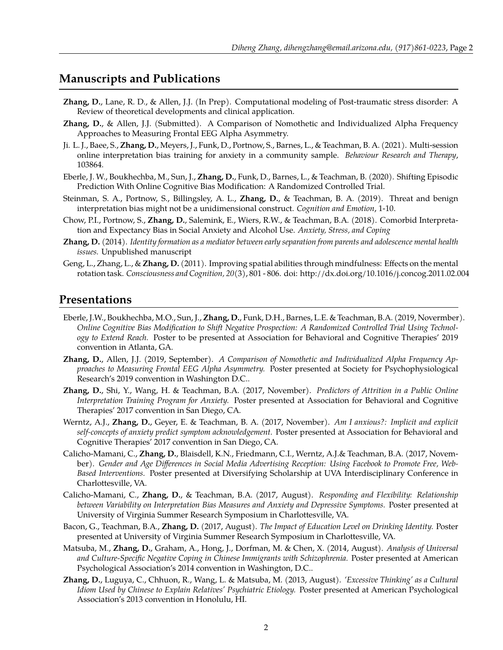### **Manuscripts and Publications**

- **Zhang, D.**, Lane, R. D., & Allen, J.J. (In Prep). Computational modeling of Post-traumatic stress disorder: A Review of theoretical developments and clinical application.
- **Zhang, D.**, & Allen, J.J. (Submitted). A Comparison of Nomothetic and Individualized Alpha Frequency Approaches to Measuring Frontal EEG Alpha Asymmetry.
- Ji. L. J., Baee, S., **Zhang, D.**, Meyers, J., Funk, D., Portnow, S., Barnes, L., & Teachman, B. A. (2021). Multi-session online interpretation bias training for anxiety in a community sample. *Behaviour Research and Therapy*, 103864.
- Eberle, J. W., Boukhechba, M., Sun, J., **Zhang, D.**, Funk, D., Barnes, L., & Teachman, B. (2020). Shifting Episodic Prediction With Online Cognitive Bias Modification: A Randomized Controlled Trial.
- Steinman, S. A., Portnow, S., Billingsley, A. L., **Zhang, D.**, & Teachman, B. A. (2019). Threat and benign interpretation bias might not be a unidimensional construct. *Cognition and Emotion*, 1-10.
- Chow, P.I., Portnow, S., **Zhang, D.**, Salemink, E., Wiers, R.W., & Teachman, B.A. (2018). Comorbid Interpretation and Expectancy Bias in Social Anxiety and Alcohol Use. *Anxiety, Stress, and Coping*
- **Zhang, D.** (2014). *Identity formation as a mediator between early separation from parents and adolescence mental health issues.* Unpublished manuscript
- Geng, L., Zhang, L., & **Zhang, D.** (2011). Improving spatial abilities through mindfulness: Effects on the mental rotation task. *Consciousness and Cognition, 20*(3), 801 - 806. doi: http://dx.doi.org/10.1016/j.concog.2011.02.004

## **Presentations**

- Eberle, J.W., Boukhechba, M.O., Sun, J., **Zhang, D.**, Funk, D.H., Barnes, L.E. & Teachman, B.A. (2019, Novermber). *Online Cognitive Bias Modification to Shift Negative Prospection: A Randomized Controlled Trial Using Technology to Extend Reach.* Poster to be presented at Association for Behavioral and Cognitive Therapies' 2019 convention in Atlanta, GA.
- **Zhang, D.**, Allen, J.J. (2019, September). *A Comparison of Nomothetic and Individualized Alpha Frequency Approaches to Measuring Frontal EEG Alpha Asymmetry.* Poster presented at Society for Psychophysiological Research's 2019 convention in Washington D.C..
- **Zhang, D.**, Shi, Y., Wang, H. & Teachman, B.A. (2017, November). *Predictors of Attrition in a Public Online Interpretation Training Program for Anxiety.* Poster presented at Association for Behavioral and Cognitive Therapies' 2017 convention in San Diego, CA.
- Werntz, A.J., **Zhang, D.**, Geyer, E. & Teachman, B. A. (2017, November). *Am I anxious?: Implicit and explicit self-concepts of anxiety predict symptom acknowledgement.* Poster presented at Association for Behavioral and Cognitive Therapies' 2017 convention in San Diego, CA.
- Calicho-Mamani, C., **Zhang, D.**, Blaisdell, K.N., Friedmann, C.I., Werntz, A.J.& Teachman, B.A. (2017, November). *Gender and Age Differences in Social Media Advertising Reception: Using Facebook to Promote Free, Web-Based Interventions.* Poster presented at Diversifying Scholarship at UVA Interdisciplinary Conference in Charlottesville, VA.
- Calicho-Mamani, C., **Zhang, D.**, & Teachman, B.A. (2017, August). *Responding and Flexibility: Relationship between Variability on Interpretation Bias Measures and Anxiety and Depressive Symptoms.* Poster presented at University of Virginia Summer Research Symposium in Charlottesville, VA.
- Bacon, G., Teachman, B.A., **Zhang, D.** (2017, August). *The Impact of Education Level on Drinking Identity.* Poster presented at University of Virginia Summer Research Symposium in Charlottesville, VA.
- Matsuba, M., **Zhang, D.**, Graham, A., Hong, J., Dorfman, M. & Chen, X. (2014, August). *Analysis of Universal and Culture-Specific Negative Coping in Chinese Immigrants with Schizophrenia.* Poster presented at American Psychological Association's 2014 convention in Washington, D.C..
- **Zhang, D.**, Luguya, C., Chhuon, R., Wang, L. & Matsuba, M. (2013, August). *'Excessive Thinking' as a Cultural Idiom Used by Chinese to Explain Relatives' Psychiatric Etiology.* Poster presented at American Psychological Association's 2013 convention in Honolulu, HI.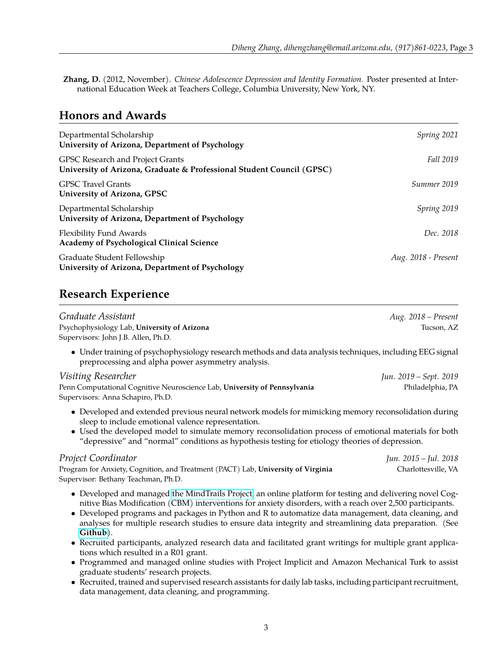**Zhang, D.** (2012, November). *Chinese Adolescence Depression and Identity Formation.* Poster presented at International Education Week at Teachers College, Columbia University, New York, NY.

# **Honors and Awards**

| Departmental Scholarship<br>University of Arizona, Department of Psychology                               | Spring 2021         |
|-----------------------------------------------------------------------------------------------------------|---------------------|
| GPSC Research and Project Grants<br>University of Arizona, Graduate & Professional Student Council (GPSC) | Fall 2019           |
| <b>GPSC Travel Grants</b><br>University of Arizona, GPSC                                                  | Summer 2019         |
| Departmental Scholarship<br>University of Arizona, Department of Psychology                               | Spring 2019         |
| <b>Flexibility Fund Awards</b><br><b>Academy of Psychological Clinical Science</b>                        | Dec. 2018           |
| Graduate Student Fellowship<br>University of Arizona, Department of Psychology                            | Aug. 2018 - Present |

# **Research Experience**

| Graduate Assistant                                                                                                                                                                                                                                                                                                                                                                                                                                  | Aug. 2018 - Present    |
|-----------------------------------------------------------------------------------------------------------------------------------------------------------------------------------------------------------------------------------------------------------------------------------------------------------------------------------------------------------------------------------------------------------------------------------------------------|------------------------|
| Psychophysiology Lab, University of Arizona<br>Supervisors: John J.B. Allen, Ph.D.                                                                                                                                                                                                                                                                                                                                                                  | Tucson, AZ             |
| • Under training of psychophysiology research methods and data analysis techniques, including EEG signal<br>preprocessing and alpha power asymmetry analysis.                                                                                                                                                                                                                                                                                       |                        |
| Visiting Researcher                                                                                                                                                                                                                                                                                                                                                                                                                                 | Jun. 2019 - Sept. 2019 |
| Penn Computational Cognitive Neuroscience Lab, University of Pennsylvania<br>Supervisors: Anna Schapiro, Ph.D.                                                                                                                                                                                                                                                                                                                                      | Philadelphia, PA       |
| • Developed and extended previous neural network models for mimicking memory reconsolidation during<br>sleep to include emotional valence representation.<br>• Used the developed model to simulate memory reconsolidation process of emotional materials for both<br>"depressive" and "normal" conditions as hypothesis testing for etiology theories of depression.                                                                               |                        |
| Project Coordinator                                                                                                                                                                                                                                                                                                                                                                                                                                 | Jun. 2015 - Jul. 2018  |
| Program for Anxiety, Cognition, and Treatment (PACT) Lab, University of Virginia<br>Supervisor: Bethany Teachman, Ph.D.                                                                                                                                                                                                                                                                                                                             | Charlottesville, VA    |
| • Developed and managed the MindTrails Project, an online platform for testing and delivering novel Cog-<br>nitive Bias Modification (CBM) interventions for anxiety disorders, with a reach over 2,500 participants.<br>• Developed programs and packages in Python and R to automatize data management, data cleaning, and<br>analyses for multiple research studies to ensure data integrity and streamlining data preparation. (See<br>Github). |                        |
| • Recruited participants, analyzed research data and facilitated grant writings for multiple grant applica-<br>tions which resulted in a R01 grant.                                                                                                                                                                                                                                                                                                 |                        |

- Programmed and managed online studies with Project Implicit and Amazon Mechanical Turk to assist graduate students' research projects.
- Recruited, trained and supervised research assistants for daily lab tasks, including participant recruitment, data management, data cleaning, and programming.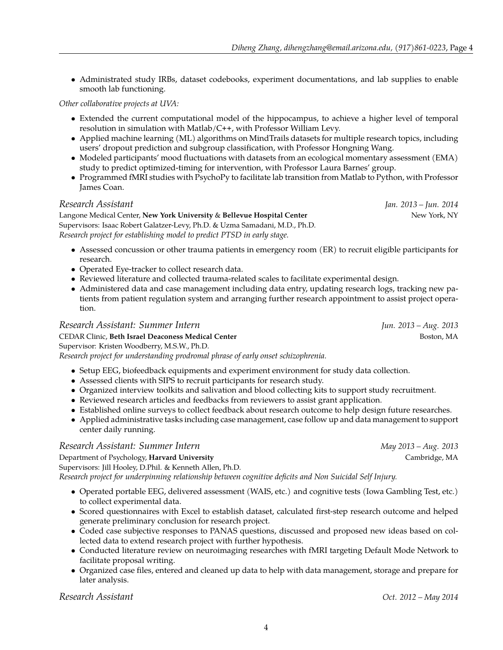• Administrated study IRBs, dataset codebooks, experiment documentations, and lab supplies to enable smooth lab functioning.

*Other collaborative projects at UVA:*

- Extended the current computational model of the hippocampus, to achieve a higher level of temporal resolution in simulation with Matlab/C**++**, with Professor William Levy.
- Applied machine learning (ML) algorithms on MindTrails datasets for multiple research topics, including users' dropout prediction and subgroup classification, with Professor Hongning Wang.
- Modeled participants' mood fluctuations with datasets from an ecological momentary assessment (EMA) study to predict optimized-timing for intervention, with Professor Laura Barnes' group.
- Programmed fMRI studies with PsychoPy to facilitate lab transition from Matlab to Python, with Professor James Coan.

#### *Research Assistant Jan. 2013 – Jun. 2014*

Langone Medical Center, **New York University** & **Bellevue Hospital Center** New York, NY Supervisors: Isaac Robert Galatzer-Levy, Ph.D. & Uzma Samadani, M.D., Ph.D. *Research project for establishing model to predict PTSD in early stage.*

- Assessed concussion or other trauma patients in emergency room (ER) to recruit eligible participants for research.
- Operated Eye-tracker to collect research data.
- Reviewed literature and collected trauma-related scales to facilitate experimental design.
- Administered data and case management including data entry, updating research logs, tracking new patients from patient regulation system and arranging further research appointment to assist project operation.

#### *Research Assistant: Summer Intern Jun. 2013 – Aug. 2013* CEDAR Clinic, Beth Israel Deaconess Medical Center **Boston, MA** Boston, MA Supervisor: Kristen Woodberry, M.S.W., Ph.D. *Research project for understanding prodromal phrase of early onset schizophrenia.*

- Setup EEG, biofeedback equipments and experiment environment for study data collection.
- Assessed clients with SIPS to recruit participants for research study.
- Organized interview toolkits and salivation and blood collecting kits to support study recruitment.
- Reviewed research articles and feedbacks from reviewers to assist grant application.
- Established online surveys to collect feedback about research outcome to help design future researches.
- Applied administrative tasks including case management, case follow up and data management to support center daily running.

#### *Research Assistant: Summer Intern May 2013 – Aug. 2013*

#### Department of Psychology, **Harvard University** Cambridge, MA

Supervisors: Jill Hooley, D.Phil. & Kenneth Allen, Ph.D.

*Research project for underpinning relationship between cognitive deficits and Non Suicidal Self Injury.*

- Operated portable EEG, delivered assessment (WAIS, etc.) and cognitive tests (Iowa Gambling Test, etc.) to collect experimental data.
- Scored questionnaires with Excel to establish dataset, calculated first-step research outcome and helped generate preliminary conclusion for research project.
- Coded case subjective responses to PANAS questions, discussed and proposed new ideas based on collected data to extend research project with further hypothesis.
- Conducted literature review on neuroimaging researches with fMRI targeting Default Mode Network to facilitate proposal writing.
- Organized case files, entered and cleaned up data to help with data management, storage and prepare for later analysis.

*Research Assistant Oct. 2012 – May 2014*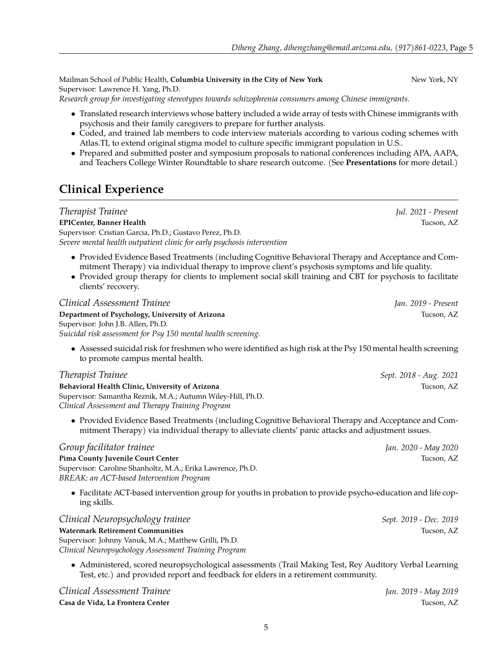Mailman School of Public Health, **Columbia University in the City of New York** New York, NY Supervisor: Lawrence H. Yang, Ph.D.

*Research group for investigating stereotypes towards schizophrenia consumers among Chinese immigrants.*

- Translated research interviews whose battery included a wide array of tests with Chinese immigrants with psychosis and their family caregivers to prepare for further analysis.
- Coded, and trained lab members to code interview materials according to various coding schemes with Atlas.TI, to extend original stigma model to culture specific immigrant population in U.S..
- Prepared and submitted poster and symposium proposals to national conferences including APA, AAPA, and Teachers College Winter Roundtable to share research outcome. (See **Presentations** for more detail.)

# **Clinical Experience**

*Therapist Trainee Jul. 2021 - Present* **EPICenter, Banner Health** Tucson, AZ Supervisor: Cristian Garcia, Ph.D.; Gustavo Perez, Ph.D. *Severe mental health outpatient clinic for early psychosis intervention*

- Provided Evidence Based Treatments (including Cognitive Behavioral Therapy and Acceptance and Commitment Therapy) via individual therapy to improve client's psychosis symptoms and life quality.
- Provided group therapy for clients to implement social skill training and CBT for psychosis to facilitate clients' recovery.

*Clinical Assessment Trainee Jan. 2019 - Present* **Department of Psychology, University of Arizona** Tucson, AZ Tucson, AZ Supervisor: John J.B. Allen, Ph.D. *Suicidal risk assessment for Psy 150 mental health screening.*

• Assessed suicidal risk for freshmen who were identified as high risk at the Psy 150 mental health screening to promote campus mental health.

### *Therapist Trainee Sept. 2018 - Aug. 2021*

**Behavioral Health Clinic, University of Arizona** Tucson, AZ Supervisor: Samantha Reznik, M.A.; Autumn Wiley-Hill, Ph.D. *Clinical Assessment and Therapy Training Program*

• Provided Evidence Based Treatments (including Cognitive Behavioral Therapy and Acceptance and Commitment Therapy) via individual therapy to alleviate clients' panic attacks and adjustment issues.

#### *Group facilitator trainee Jan. 2020 - May 2020*

#### **Pima County Juvenile Court Center** Tucson, AZ

Supervisor: Caroline Shanholtz, M.A.; Erika Lawrence, Ph.D. *BREAK: an ACT-based Intervention Program*

• Facilitate ACT-based intervention group for youths in probation to provide psycho-education and life coping skills.

*Clinical Neuropsychology trainee Sept. 2019 - Dec. 2019*

#### **Watermark Retirement Communities** Tucson, AZ

Supervisor: Johnny Vanuk, M.A.; Matthew Grilli, Ph.D. *Clinical Neuropsychology Assessment Training Program*

• Administered, scored neuropsychological assessments (Trail Making Test, Rey Auditory Verbal Learning Test, etc.) and provided report and feedback for elders in a retirement community.

*Clinical Assessment Trainee Jan. 2019 - May 2019* **Casa de Vida, La Frontera Center** Tucson, AZ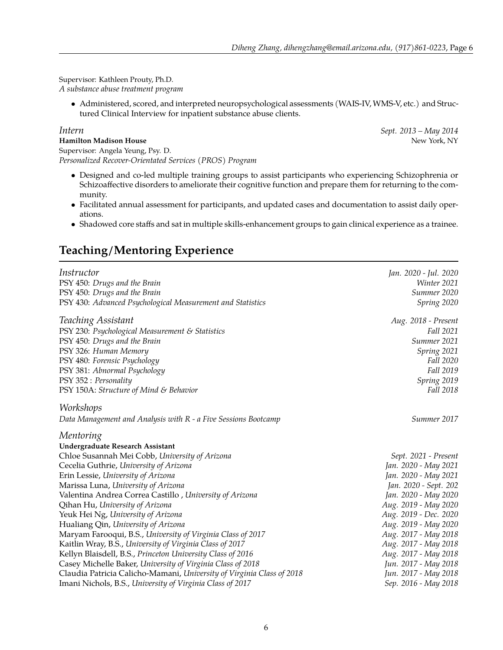Supervisor: Kathleen Prouty, Ph.D.

*A substance abuse treatment program*

• Administered, scored, and interpreted neuropsychological assessments (WAIS-IV, WMS-V, etc.) and Structured Clinical Interview for inpatient substance abuse clients.

*Intern Sept. 2013 – May 2014*

**Hamilton Madison House** New York, NY Supervisor: Angela Yeung, Psy. D. *Personalized Recover-Orientated Services (PROS) Program*

- Designed and co-led multiple training groups to assist participants who experiencing Schizophrenia or Schizoaffective disorders to ameliorate their cognitive function and prepare them for returning to the community.
- Facilitated annual assessment for participants, and updated cases and documentation to assist daily operations.
- Shadowed core staffs and sat in multiple skills-enhancement groups to gain clinical experience as a trainee.

# **Teaching/Mentoring Experience**

| Instructor                                                                                                                                                                                                                                                                                                                                                                                                                                                                                                                                                                                                                                                                                                                                                                        | Jan. 2020 - Jul. 2020                                                                                                                                                                                                                                                                                                                          |
|-----------------------------------------------------------------------------------------------------------------------------------------------------------------------------------------------------------------------------------------------------------------------------------------------------------------------------------------------------------------------------------------------------------------------------------------------------------------------------------------------------------------------------------------------------------------------------------------------------------------------------------------------------------------------------------------------------------------------------------------------------------------------------------|------------------------------------------------------------------------------------------------------------------------------------------------------------------------------------------------------------------------------------------------------------------------------------------------------------------------------------------------|
| PSY 450: Drugs and the Brain                                                                                                                                                                                                                                                                                                                                                                                                                                                                                                                                                                                                                                                                                                                                                      | Winter 2021                                                                                                                                                                                                                                                                                                                                    |
| PSY 450: Drugs and the Brain                                                                                                                                                                                                                                                                                                                                                                                                                                                                                                                                                                                                                                                                                                                                                      | Summer 2020                                                                                                                                                                                                                                                                                                                                    |
| PSY 430: Advanced Psychological Measurement and Statistics                                                                                                                                                                                                                                                                                                                                                                                                                                                                                                                                                                                                                                                                                                                        | Spring 2020                                                                                                                                                                                                                                                                                                                                    |
| Teaching Assistant                                                                                                                                                                                                                                                                                                                                                                                                                                                                                                                                                                                                                                                                                                                                                                | Aug. 2018 - Present                                                                                                                                                                                                                                                                                                                            |
| PSY 230: Psychological Measurement & Statistics                                                                                                                                                                                                                                                                                                                                                                                                                                                                                                                                                                                                                                                                                                                                   | Fall 2021                                                                                                                                                                                                                                                                                                                                      |
| PSY 450: Drugs and the Brain                                                                                                                                                                                                                                                                                                                                                                                                                                                                                                                                                                                                                                                                                                                                                      | Summer 2021                                                                                                                                                                                                                                                                                                                                    |
| PSY 326: Human Memory                                                                                                                                                                                                                                                                                                                                                                                                                                                                                                                                                                                                                                                                                                                                                             | Spring 2021                                                                                                                                                                                                                                                                                                                                    |
| PSY 480: Forensic Psychology                                                                                                                                                                                                                                                                                                                                                                                                                                                                                                                                                                                                                                                                                                                                                      | Fall 2020                                                                                                                                                                                                                                                                                                                                      |
| PSY 381: Abnormal Psychology                                                                                                                                                                                                                                                                                                                                                                                                                                                                                                                                                                                                                                                                                                                                                      | Fall 2019                                                                                                                                                                                                                                                                                                                                      |
| PSY 352 : Personality                                                                                                                                                                                                                                                                                                                                                                                                                                                                                                                                                                                                                                                                                                                                                             | Spring 2019                                                                                                                                                                                                                                                                                                                                    |
| PSY 150A: Structure of Mind & Behavior                                                                                                                                                                                                                                                                                                                                                                                                                                                                                                                                                                                                                                                                                                                                            | Fall 2018                                                                                                                                                                                                                                                                                                                                      |
| Workshops<br>Data Management and Analysis with R - a Five Sessions Bootcamp<br>Mentoring                                                                                                                                                                                                                                                                                                                                                                                                                                                                                                                                                                                                                                                                                          | Summer 2017                                                                                                                                                                                                                                                                                                                                    |
| Undergraduate Research Assistant<br>Chloe Susannah Mei Cobb, University of Arizona<br>Cecelia Guthrie, University of Arizona<br>Erin Lessie, University of Arizona<br>Marissa Luna, University of Arizona<br>Valentina Andrea Correa Castillo, University of Arizona<br>Qihan Hu, University of Arizona<br>Yeuk Hei Ng, University of Arizona<br>Hualiang Qin, University of Arizona<br>Maryam Farooqui, B.S., University of Virginia Class of 2017<br>Kaitlin Wray, B.S., University of Virginia Class of 2017<br>Kellyn Blaisdell, B.S., Princeton University Class of 2016<br>Casey Michelle Baker, University of Virginia Class of 2018<br>Claudia Patricia Calicho-Mamani, University of Virginia Class of 2018<br>Imani Nichols, B.S., University of Virginia Class of 2017 | Sept. 2021 - Present<br>Jan. 2020 - May 2021<br>Jan. 2020 - May 2021<br>Jan. 2020 - Sept. 202<br>Jan. 2020 - May 2020<br>Aug. 2019 - May 2020<br>Aug. 2019 - Dec. 2020<br>Aug. 2019 - May 2020<br>Aug. 2017 - May 2018<br>Aug. 2017 - May 2018<br>Aug. 2017 - May 2018<br>Jun. 2017 - May 2018<br>Jun. 2017 - May 2018<br>Sep. 2016 - May 2018 |